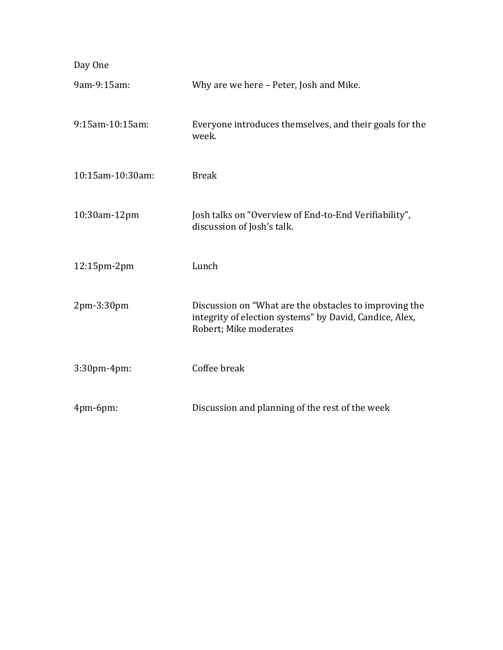| Day One          |                                                                                                                                             |
|------------------|---------------------------------------------------------------------------------------------------------------------------------------------|
| 9am-9:15am:      | Why are we here - Peter, Josh and Mike.                                                                                                     |
| 9:15am-10:15am:  | Everyone introduces themselves, and their goals for the<br>week.                                                                            |
| 10:15am-10:30am: | <b>Break</b>                                                                                                                                |
| 10:30am-12pm     | Josh talks on "Overview of End-to-End Verifiability",<br>discussion of Josh's talk.                                                         |
| 12:15pm-2pm      | Lunch                                                                                                                                       |
| 2pm-3:30pm       | Discussion on "What are the obstacles to improving the<br>integrity of election systems" by David, Candice, Alex,<br>Robert; Mike moderates |
| 3:30pm-4pm:      | Coffee break                                                                                                                                |
| 4pm-6pm:         | Discussion and planning of the rest of the week                                                                                             |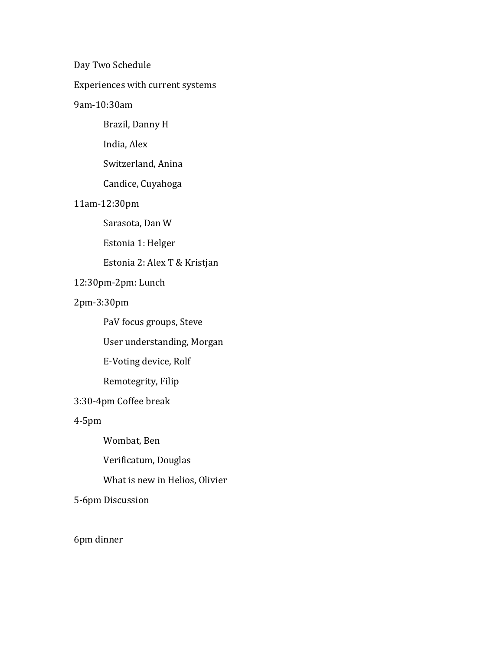Day Two Schedule

Experiences with current systems

## 9am-10:30am

Brazil, Danny H

India, Alex

Switzerland, Anina

Candice, Cuyahoga

## 11am-12:30pm

Sarasota, Dan W

Estonia 1: Helger

## Estonia 2: Alex T & Kristjan

## 12:30pm-2pm: Lunch

## 2pm-3:30pm

PaV focus groups, Steve

User understanding, Morgan

E-Voting device, Rolf

Remotegrity, Filip

## 3:30-4pm Coffee break

4-5pm

Wombat, Ben

Verificatum, Douglas

What is new in Helios, Olivier

5-6pm Discussion

6pm dinner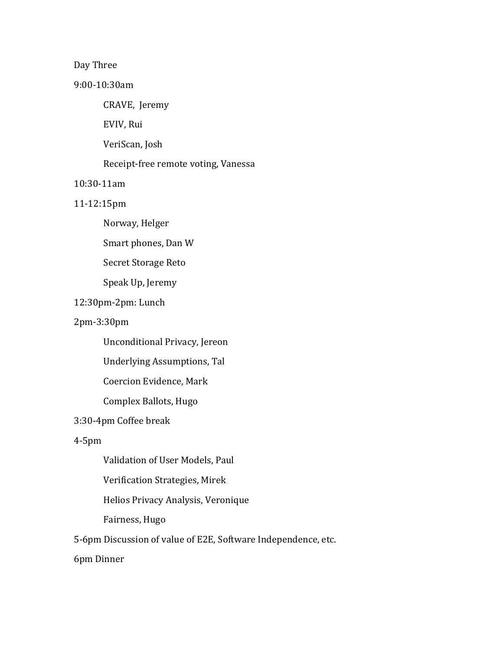## Day Three

#### 9:00-10:30am

CRAVE, Jeremy

EVIV, Rui

VeriScan, Josh

Receipt-free remote voting, Vanessa

### 10:30-11am

### 11-12:15pm

Norway, Helger

Smart phones, Dan W

Secret Storage Reto

Speak Up, Jeremy

# 12:30pm-2pm: Lunch

## 2pm-3:30pm

Unconditional Privacy, Jereon

Underlying Assumptions, Tal

Coercion Evidence, Mark

Complex Ballots, Hugo

### 3:30-4pm Coffee break

### 4-5pm

Validation of User Models, Paul

Verification Strategies, Mirek

Helios Privacy Analysis, Veronique

Fairness, Hugo

5-6pm Discussion of value of E2E, Software Independence, etc.

# 6pm Dinner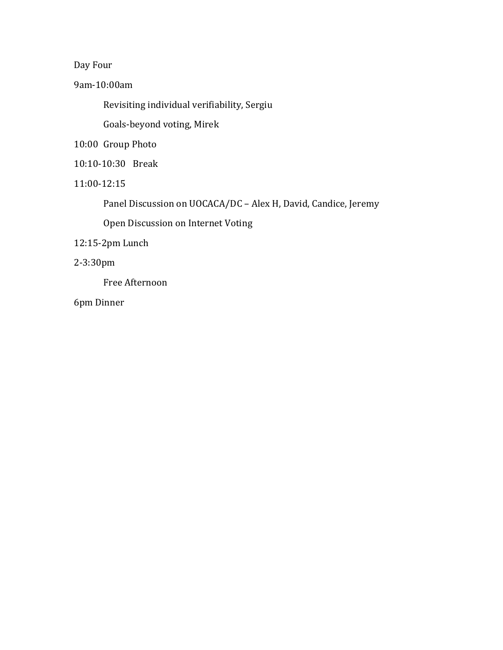Day Four

9am-10:00am

Revisiting individual verifiability, Sergiu

Goals-beyond voting, Mirek

10:00 Group Photo

- 10:10-10:30 Break
- 11:00-12:15

Panel Discussion on UOCACA/DC – Alex H, David, Candice, Jeremy

Open Discussion on Internet Voting

12:15-2pm Lunch

2-3:30pm

Free Afternoon

6pm Dinner